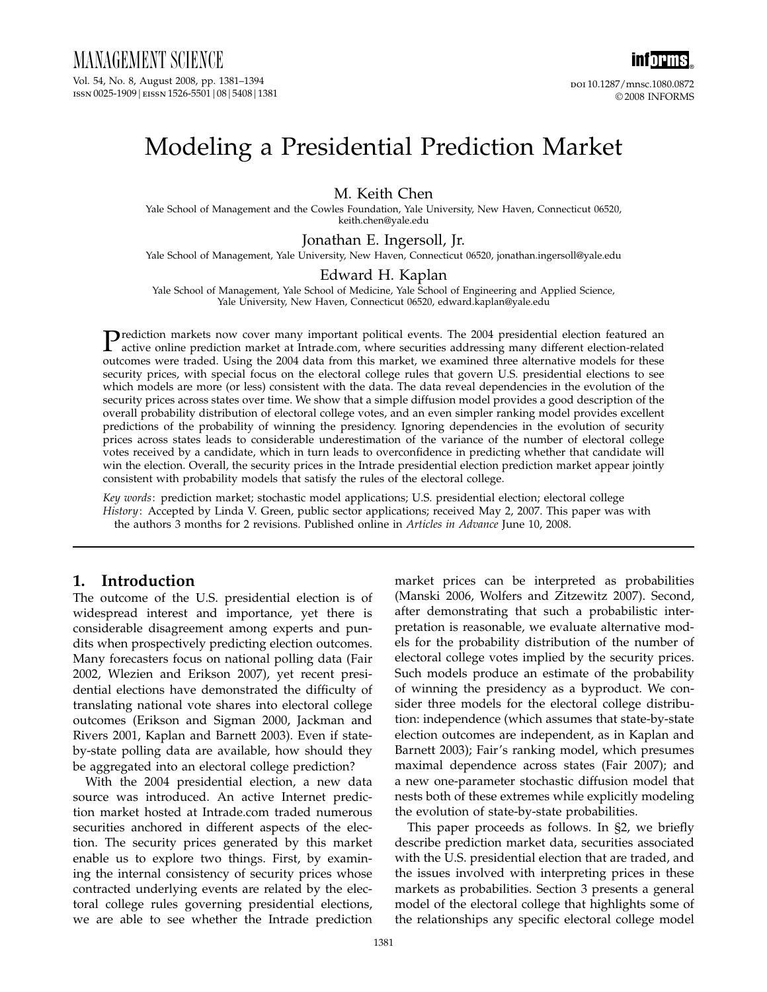

# Modeling a Presidential Prediction Market

M. Keith Chen

Yale School of Management and the Cowles Foundation, Yale University, New Haven, Connecticut 06520, keith.chen@yale.edu

Jonathan E. Ingersoll, Jr.

Yale School of Management, Yale University, New Haven, Connecticut 06520, jonathan.ingersoll@yale.edu

## Edward H. Kaplan

Yale School of Management, Yale School of Medicine, Yale School of Engineering and Applied Science, Yale University, New Haven, Connecticut 06520, edward.kaplan@yale.edu

Prediction markets now cover many important political events. The 2004 presidential election featured an active online prediction market at Intrade.com, where securities addressing many different election-related outcomes outcomes were traded. Using the 2004 data from this market, we examined three alternative models for these security prices, with special focus on the electoral college rules that govern U.S. presidential elections to see which models are more (or less) consistent with the data. The data reveal dependencies in the evolution of the security prices across states over time. We show that a simple diffusion model provides a good description of the overall probability distribution of electoral college votes, and an even simpler ranking model provides excellent predictions of the probability of winning the presidency. Ignoring dependencies in the evolution of security prices across states leads to considerable underestimation of the variance of the number of electoral college votes received by a candidate, which in turn leads to overconfidence in predicting whether that candidate will win the election. Overall, the security prices in the Intrade presidential election prediction market appear jointly consistent with probability models that satisfy the rules of the electoral college.

Key words: prediction market; stochastic model applications; U.S. presidential election; electoral college History: Accepted by Linda V. Green, public sector applications; received May 2, 2007. This paper was with the authors 3 months for 2 revisions. Published online in Articles in Advance June 10, 2008.

## 1. Introduction

The outcome of the U.S. presidential election is of widespread interest and importance, yet there is considerable disagreement among experts and pundits when prospectively predicting election outcomes. Many forecasters focus on national polling data (Fair 2002, Wlezien and Erikson 2007), yet recent presidential elections have demonstrated the difficulty of translating national vote shares into electoral college outcomes (Erikson and Sigman 2000, Jackman and Rivers 2001, Kaplan and Barnett 2003). Even if stateby-state polling data are available, how should they be aggregated into an electoral college prediction?

With the 2004 presidential election, a new data source was introduced. An active Internet prediction market hosted at Intrade.com traded numerous securities anchored in different aspects of the election. The security prices generated by this market enable us to explore two things. First, by examining the internal consistency of security prices whose contracted underlying events are related by the electoral college rules governing presidential elections, we are able to see whether the Intrade prediction

market prices can be interpreted as probabilities (Manski 2006, Wolfers and Zitzewitz 2007). Second, after demonstrating that such a probabilistic interpretation is reasonable, we evaluate alternative models for the probability distribution of the number of electoral college votes implied by the security prices. Such models produce an estimate of the probability of winning the presidency as a byproduct. We consider three models for the electoral college distribution: independence (which assumes that state-by-state election outcomes are independent, as in Kaplan and Barnett 2003); Fair's ranking model, which presumes maximal dependence across states (Fair 2007); and a new one-parameter stochastic diffusion model that nests both of these extremes while explicitly modeling the evolution of state-by-state probabilities.

This paper proceeds as follows. In §2, we briefly describe prediction market data, securities associated with the U.S. presidential election that are traded, and the issues involved with interpreting prices in these markets as probabilities. Section 3 presents a general model of the electoral college that highlights some of the relationships any specific electoral college model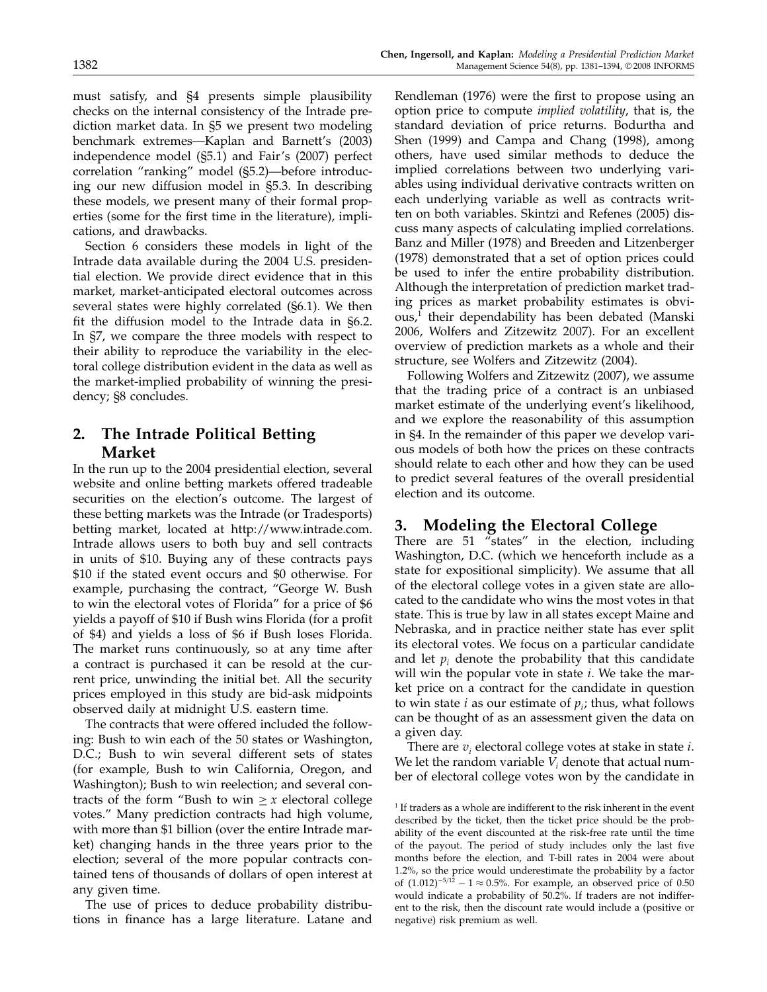must satisfy, and §4 presents simple plausibility checks on the internal consistency of the Intrade prediction market data. In §5 we present two modeling benchmark extremes—Kaplan and Barnett's (2003) independence model (§5.1) and Fair's (2007) perfect correlation "ranking" model (§5.2)—before introducing our new diffusion model in §5.3. In describing these models, we present many of their formal properties (some for the first time in the literature), implications, and drawbacks.

Section 6 considers these models in light of the Intrade data available during the 2004 U.S. presidential election. We provide direct evidence that in this market, market-anticipated electoral outcomes across several states were highly correlated (§6.1). We then fit the diffusion model to the Intrade data in §6.2. In §7, we compare the three models with respect to their ability to reproduce the variability in the electoral college distribution evident in the data as well as the market-implied probability of winning the presidency; §8 concludes.

# 2. The Intrade Political Betting Market

In the run up to the 2004 presidential election, several website and online betting markets offered tradeable securities on the election's outcome. The largest of these betting markets was the Intrade (or Tradesports) betting market, located at http://www.intrade.com. Intrade allows users to both buy and sell contracts in units of \$10. Buying any of these contracts pays \$10 if the stated event occurs and \$0 otherwise. For example, purchasing the contract, "George W. Bush to win the electoral votes of Florida" for a price of \$6 yields a payoff of \$10 if Bush wins Florida (for a profit of \$4) and yields a loss of \$6 if Bush loses Florida. The market runs continuously, so at any time after a contract is purchased it can be resold at the current price, unwinding the initial bet. All the security prices employed in this study are bid-ask midpoints observed daily at midnight U.S. eastern time.

The contracts that were offered included the following: Bush to win each of the 50 states or Washington, D.C.; Bush to win several different sets of states (for example, Bush to win California, Oregon, and Washington); Bush to win reelection; and several contracts of the form "Bush to win  $\geq$  x electoral college votes." Many prediction contracts had high volume, with more than \$1 billion (over the entire Intrade market) changing hands in the three years prior to the election; several of the more popular contracts contained tens of thousands of dollars of open interest at any given time.

The use of prices to deduce probability distributions in finance has a large literature. Latane and

Rendleman (1976) were the first to propose using an option price to compute implied volatility, that is, the standard deviation of price returns. Bodurtha and Shen (1999) and Campa and Chang (1998), among others, have used similar methods to deduce the implied correlations between two underlying variables using individual derivative contracts written on each underlying variable as well as contracts written on both variables. Skintzi and Refenes (2005) discuss many aspects of calculating implied correlations. Banz and Miller (1978) and Breeden and Litzenberger (1978) demonstrated that a set of option prices could be used to infer the entire probability distribution. Although the interpretation of prediction market trading prices as market probability estimates is obvi $ous<sup>1</sup>$ , their dependability has been debated (Manski 2006, Wolfers and Zitzewitz 2007). For an excellent overview of prediction markets as a whole and their structure, see Wolfers and Zitzewitz (2004).

Following Wolfers and Zitzewitz (2007), we assume that the trading price of a contract is an unbiased market estimate of the underlying event's likelihood, and we explore the reasonability of this assumption in §4. In the remainder of this paper we develop various models of both how the prices on these contracts should relate to each other and how they can be used to predict several features of the overall presidential election and its outcome.

## 3. Modeling the Electoral College

There are 51 "states" in the election, including Washington, D.C. (which we henceforth include as a state for expositional simplicity). We assume that all of the electoral college votes in a given state are allocated to the candidate who wins the most votes in that state. This is true by law in all states except Maine and Nebraska, and in practice neither state has ever split its electoral votes. We focus on a particular candidate and let  $p_i$  denote the probability that this candidate will win the popular vote in state  $i$ . We take the market price on a contract for the candidate in question to win state *i* as our estimate of  $p_i$ ; thus, what follows can be thought of as an assessment given the data on a given day.

There are  $v_i$  electoral college votes at stake in state *i*. We let the random variable  $V_i$  denote that actual number of electoral college votes won by the candidate in

<sup>&</sup>lt;sup>1</sup> If traders as a whole are indifferent to the risk inherent in the event described by the ticket, then the ticket price should be the probability of the event discounted at the risk-free rate until the time of the payout. The period of study includes only the last five months before the election, and T-bill rates in 2004 were about 1.2%, so the price would underestimate the probability by a factor of  $(1.012)^{-5/12} - 1 \approx 0.5%$ . For example, an observed price of 0.50 would indicate a probability of 50.2%. If traders are not indifferent to the risk, then the discount rate would include a (positive or negative) risk premium as well.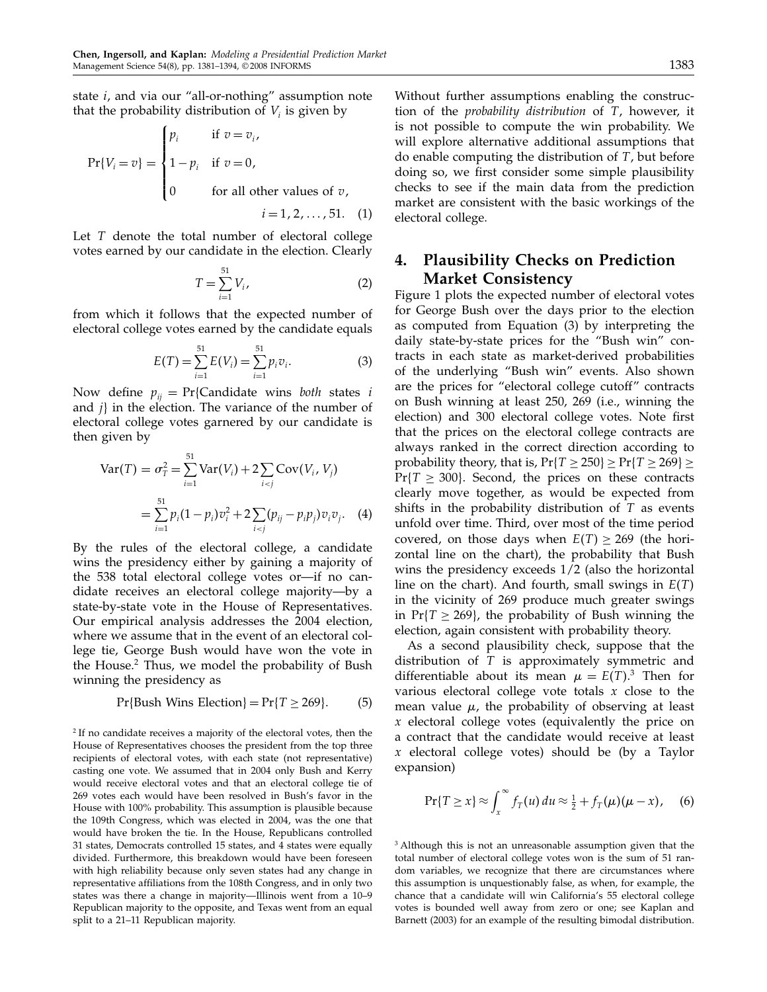state  $i$ , and via our "all-or-nothing" assumption note that the probability distribution of  $V_i$  is given by

$$
Pr{V_i = v} = \begin{cases} p_i & \text{if } v = v_i, \\ 1 - p_i & \text{if } v = 0, \\ 0 & \text{for all other values of } v, \\ i = 1, 2, ..., 51. \end{cases}
$$

Let  $T$  denote the total number of electoral college votes earned by our candidate in the election. Clearly

$$
T = \sum_{i=1}^{51} V_i,
$$
 (2)

from which it follows that the expected number of electoral college votes earned by the candidate equals

$$
E(T) = \sum_{i=1}^{51} E(V_i) = \sum_{i=1}^{51} p_i v_i.
$$
 (3)

Now define  $p_{ij} = Pr$ {Candidate wins *both* states *i* and  $j$  in the election. The variance of the number of electoral college votes garnered by our candidate is then given by

$$
Var(T) = \sigma_T^2 = \sum_{i=1}^{51} Var(V_i) + 2 \sum_{i < j} Cov(V_i, V_j)
$$
\n
$$
= \sum_{i=1}^{51} p_i (1 - p_i) v_i^2 + 2 \sum_{i < j} (p_{ij} - p_i p_j) v_i v_j. \quad (4)
$$

By the rules of the electoral college, a candidate wins the presidency either by gaining a majority of the 538 total electoral college votes or—if no candidate receives an electoral college majority—by a state-by-state vote in the House of Representatives. Our empirical analysis addresses the 2004 election, where we assume that in the event of an electoral college tie, George Bush would have won the vote in the House.<sup>2</sup> Thus, we model the probability of Bush winning the presidency as

$$
Pr{Bush Wins Electron} = Pr{T \ge 269}.
$$
 (5)

<sup>2</sup> If no candidate receives a majority of the electoral votes, then the House of Representatives chooses the president from the top three recipients of electoral votes, with each state (not representative) casting one vote. We assumed that in 2004 only Bush and Kerry would receive electoral votes and that an electoral college tie of 269 votes each would have been resolved in Bush's favor in the House with 100% probability. This assumption is plausible because the 109th Congress, which was elected in 2004, was the one that would have broken the tie. In the House, Republicans controlled 31 states, Democrats controlled 15 states, and 4 states were equally divided. Furthermore, this breakdown would have been foreseen with high reliability because only seven states had any change in representative affiliations from the 108th Congress, and in only two states was there a change in majority—Illinois went from a 10–9 Republican majority to the opposite, and Texas went from an equal split to a 21–11 Republican majority.

Without further assumptions enabling the construction of the *probability distribution* of  $T$ , however, it is not possible to compute the win probability. We will explore alternative additional assumptions that do enable computing the distribution of  $T$ , but before doing so, we first consider some simple plausibility checks to see if the main data from the prediction market are consistent with the basic workings of the electoral college.

# 4. Plausibility Checks on Prediction Market Consistency

Figure 1 plots the expected number of electoral votes for George Bush over the days prior to the election as computed from Equation (3) by interpreting the daily state-by-state prices for the "Bush win" contracts in each state as market-derived probabilities of the underlying "Bush win" events. Also shown are the prices for "electoral college cutoff" contracts on Bush winning at least 250, 269 (i.e., winning the election) and 300 electoral college votes. Note first that the prices on the electoral college contracts are always ranked in the correct direction according to probability theory, that is,  $Pr{T \ge 250} \ge Pr{T \ge 269} \ge$  $Pr{T \geq 300}$ . Second, the prices on these contracts clearly move together, as would be expected from shifts in the probability distribution of  $T$  as events unfold over time. Third, over most of the time period covered, on those days when  $E(T) \ge 269$  (the horizontal line on the chart), the probability that Bush wins the presidency exceeds 1/2 (also the horizontal line on the chart). And fourth, small swings in  $E(T)$ in the vicinity of 269 produce much greater swings in  $Pr{T \ge 269}$ , the probability of Bush winning the election, again consistent with probability theory.

As a second plausibility check, suppose that the distribution of T is approximately symmetric and differentiable about its mean  $\mu = E(T)$ .<sup>3</sup> Then for various electoral college vote totals  $x$  close to the mean value  $\mu$ , the probability of observing at least x electoral college votes (equivalently the price on a contract that the candidate would receive at least x electoral college votes) should be (by a Taylor expansion)

$$
\Pr\{T \ge x\} \approx \int_x^\infty f_T(u) \, du \approx \frac{1}{2} + f_T(\mu)(\mu - x), \quad (6)
$$

<sup>3</sup> Although this is not an unreasonable assumption given that the total number of electoral college votes won is the sum of 51 random variables, we recognize that there are circumstances where this assumption is unquestionably false, as when, for example, the chance that a candidate will win California's 55 electoral college votes is bounded well away from zero or one; see Kaplan and Barnett (2003) for an example of the resulting bimodal distribution.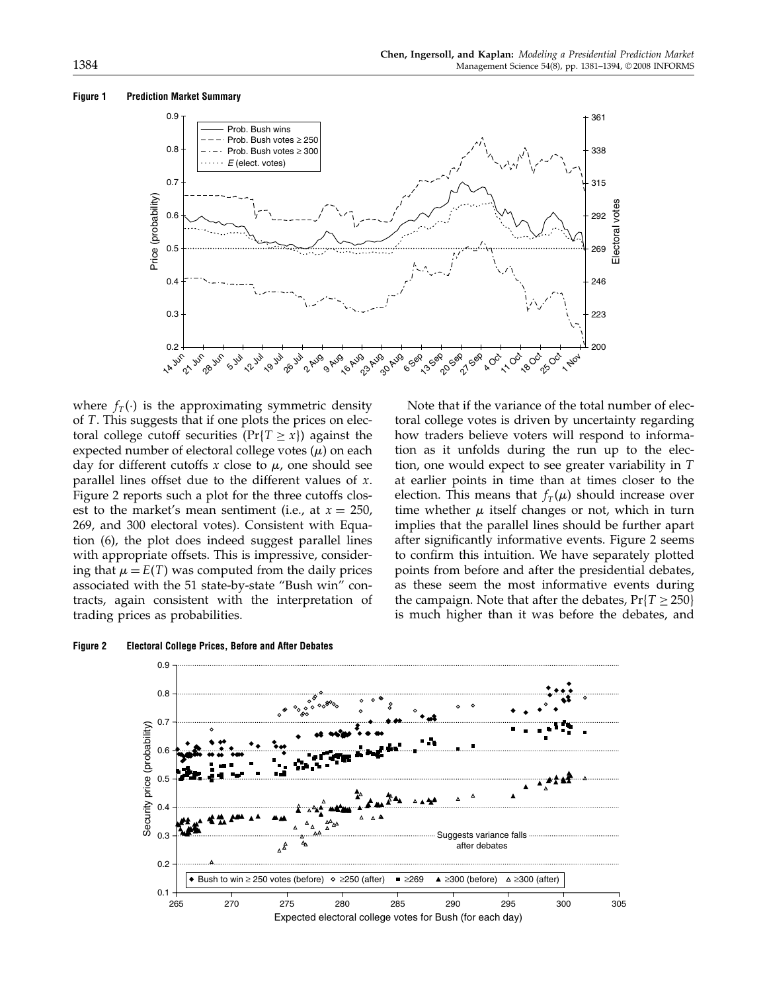

#### Figure 1 Prediction Market Summary



Note that if the variance of the total number of electoral college votes is driven by uncertainty regarding how traders believe voters will respond to information as it unfolds during the run up to the election, one would expect to see greater variability in T at earlier points in time than at times closer to the election. This means that  $f_T(\mu)$  should increase over time whether  $\mu$  itself changes or not, which in turn implies that the parallel lines should be further apart after significantly informative events. Figure 2 seems to confirm this intuition. We have separately plotted points from before and after the presidential debates, as these seem the most informative events during the campaign. Note that after the debates,  $Pr{T \ge 250}$ is much higher than it was before the debates, and

#### Figure 2 Electoral College Prices, Before and After Debates



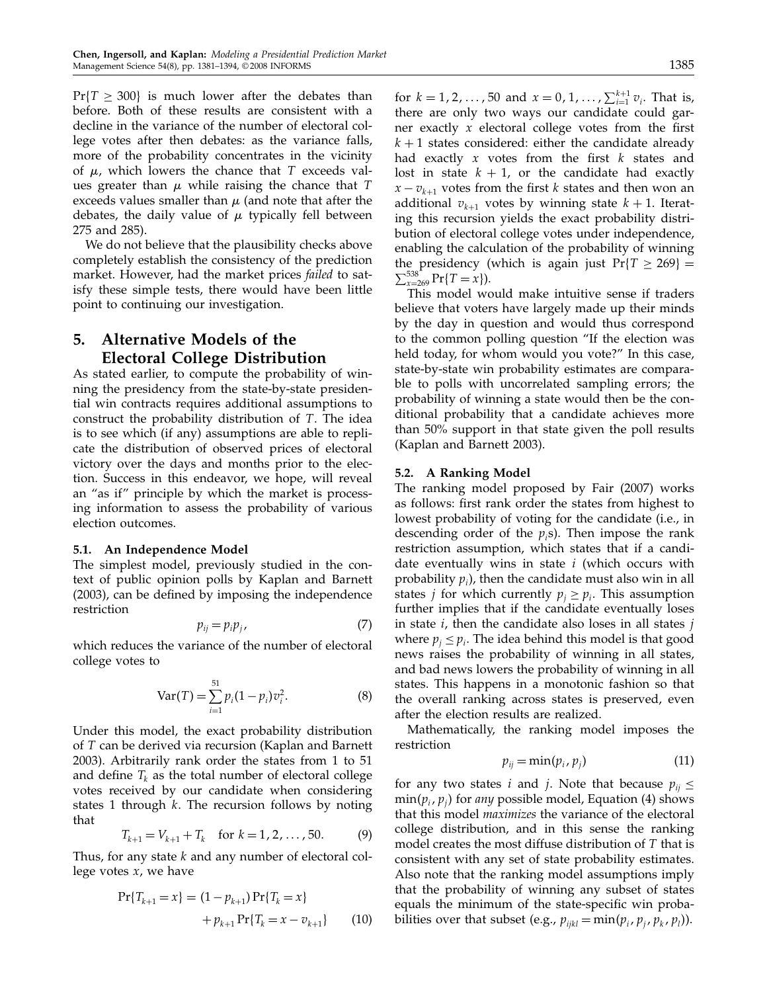$Pr{T \geq 300}$  is much lower after the debates than before. Both of these results are consistent with a decline in the variance of the number of electoral college votes after then debates: as the variance falls, more of the probability concentrates in the vicinity of  $\mu$ , which lowers the chance that T exceeds values greater than  $\mu$  while raising the chance that T exceeds values smaller than  $\mu$  (and note that after the debates, the daily value of  $\mu$  typically fell between 275 and 285).

We do not believe that the plausibility checks above completely establish the consistency of the prediction market. However, had the market prices failed to satisfy these simple tests, there would have been little point to continuing our investigation.

# 5. Alternative Models of the Electoral College Distribution

As stated earlier, to compute the probability of winning the presidency from the state-by-state presidential win contracts requires additional assumptions to construct the probability distribution of  $T$ . The idea is to see which (if any) assumptions are able to replicate the distribution of observed prices of electoral victory over the days and months prior to the election. Success in this endeavor, we hope, will reveal an "as if" principle by which the market is processing information to assess the probability of various election outcomes.

## 5.1. An Independence Model

The simplest model, previously studied in the context of public opinion polls by Kaplan and Barnett (2003), can be defined by imposing the independence restriction

$$
p_{ij} = p_i p_j, \tag{7}
$$

which reduces the variance of the number of electoral college votes to

$$
Var(T) = \sum_{i=1}^{51} p_i (1 - p_i) v_i^2.
$$
 (8)

Under this model, the exact probability distribution of T can be derived via recursion (Kaplan and Barnett 2003). Arbitrarily rank order the states from 1 to 51 and define  $T_k$  as the total number of electoral college votes received by our candidate when considering states 1 through  $k$ . The recursion follows by noting that

$$
T_{k+1} = V_{k+1} + T_k \quad \text{for } k = 1, 2, ..., 50. \tag{9}
$$

Thus, for any state k and any number of electoral college votes x, we have

$$
\Pr\{T_{k+1} = x\} = (1 - p_{k+1}) \Pr\{T_k = x\} \\
+ p_{k+1} \Pr\{T_k = x - v_{k+1}\} \tag{10}
$$

for  $k = 1, 2, ..., 50$  and  $x = 0, 1, ..., \sum_{i=1}^{k+1} v_i$ . That is, there are only two ways our candidate could garner exactly x electoral college votes from the first  $k + 1$  states considered: either the candidate already had exactly  $x$  votes from the first  $k$  states and lost in state  $k + 1$ , or the candidate had exactly  $x - v_{k+1}$  votes from the first k states and then won an additional  $v_{k+1}$  votes by winning state  $k+1$ . Iterating this recursion yields the exact probability distribution of electoral college votes under independence, enabling the calculation of the probability of winning the presidency (which is again just  $Pr{T \ge 269} = \sum_{x=260}^{538} Pr{T = x}$ ).  $\Pr_{x=269}^{\text{538}} \Pr\{T=x\}.$ 

This model would make intuitive sense if traders believe that voters have largely made up their minds by the day in question and would thus correspond to the common polling question "If the election was held today, for whom would you vote?" In this case, state-by-state win probability estimates are comparable to polls with uncorrelated sampling errors; the probability of winning a state would then be the conditional probability that a candidate achieves more than 50% support in that state given the poll results (Kaplan and Barnett 2003).

## 5.2. A Ranking Model

The ranking model proposed by Fair (2007) works as follows: first rank order the states from highest to lowest probability of voting for the candidate (i.e., in descending order of the  $p_i$ s). Then impose the rank restriction assumption, which states that if a candidate eventually wins in state  $i$  (which occurs with probability  $p_i$ ), then the candidate must also win in all states *j* for which currently  $p_i \geq p_i$ . This assumption further implies that if the candidate eventually loses in state  $i$ , then the candidate also loses in all states  $j$ where  $p_i \leq p_i$ . The idea behind this model is that good news raises the probability of winning in all states, and bad news lowers the probability of winning in all states. This happens in a monotonic fashion so that the overall ranking across states is preserved, even after the election results are realized.

Mathematically, the ranking model imposes the restriction

$$
p_{ij} = \min(p_i, p_j) \tag{11}
$$

for any two states *i* and *j*. Note that because  $p_{ij} \leq$  $min(p_i, p_j)$  for any possible model, Equation (4) shows that this model maximizes the variance of the electoral college distribution, and in this sense the ranking model creates the most diffuse distribution of T that is consistent with any set of state probability estimates. Also note that the ranking model assumptions imply that the probability of winning any subset of states equals the minimum of the state-specific win probabilities over that subset (e.g.,  $p_{ijkl} = \min(p_i, p_j, p_k, p_l)$ ).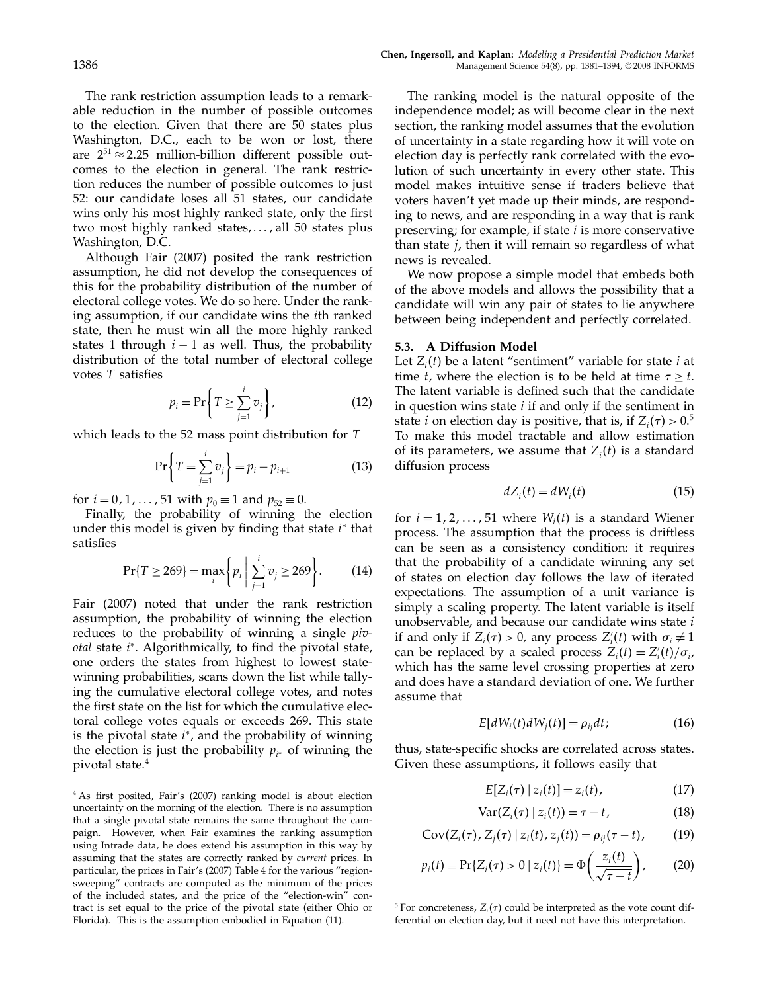The rank restriction assumption leads to a remarkable reduction in the number of possible outcomes to the election. Given that there are 50 states plus Washington, D.C., each to be won or lost, there are  $2^{51} \approx 2.25$  million-billion different possible outcomes to the election in general. The rank restriction reduces the number of possible outcomes to just 52: our candidate loses all 51 states, our candidate wins only his most highly ranked state, only the first two most highly ranked states,  $\dots$ , all 50 states plus Washington, D.C.

Although Fair (2007) posited the rank restriction assumption, he did not develop the consequences of this for the probability distribution of the number of electoral college votes. We do so here. Under the ranking assumption, if our candidate wins the ith ranked state, then he must win all the more highly ranked states 1 through  $i - 1$  as well. Thus, the probability distribution of the total number of electoral college votes T satisfies

$$
p_i = \Pr\left\{T \ge \sum_{j=1}^i v_j\right\},\tag{12}
$$

which leads to the 52 mass point distribution for T

$$
\Pr\left\{T = \sum_{j=1}^{i} v_j\right\} = p_i - p_{i+1}
$$
 (13)

for  $i = 0, 1, ..., 51$  with  $p_0 \equiv 1$  and  $p_{52} \equiv 0$ .

Finally, the probability of winning the election under this model is given by finding that state  $i^*$  that satisfies

$$
\Pr\{T \ge 269\} = \max_{i} \left\{ p_i \middle| \sum_{j=1}^{i} v_j \ge 269 \right\}.
$$
 (14)

Fair (2007) noted that under the rank restriction assumption, the probability of winning the election reduces to the probability of winning a single *piv*otal state i <sup>∗</sup>. Algorithmically, to find the pivotal state, one orders the states from highest to lowest statewinning probabilities, scans down the list while tallying the cumulative electoral college votes, and notes the first state on the list for which the cumulative electoral college votes equals or exceeds 269. This state is the pivotal state  $i^*$ , and the probability of winning the election is just the probability  $p_{i*}$  of winning the pivotal state.4

<sup>4</sup> As first posited, Fair's (2007) ranking model is about election uncertainty on the morning of the election. There is no assumption that a single pivotal state remains the same throughout the campaign. However, when Fair examines the ranking assumption using Intrade data, he does extend his assumption in this way by assuming that the states are correctly ranked by current prices. In particular, the prices in Fair's (2007) Table 4 for the various "regionsweeping" contracts are computed as the minimum of the prices of the included states, and the price of the "election-win" contract is set equal to the price of the pivotal state (either Ohio or Florida). This is the assumption embodied in Equation (11).

The ranking model is the natural opposite of the independence model; as will become clear in the next section, the ranking model assumes that the evolution of uncertainty in a state regarding how it will vote on election day is perfectly rank correlated with the evolution of such uncertainty in every other state. This model makes intuitive sense if traders believe that voters haven't yet made up their minds, are responding to news, and are responding in a way that is rank preserving; for example, if state  $i$  is more conservative than state  $j$ , then it will remain so regardless of what news is revealed.

We now propose a simple model that embeds both of the above models and allows the possibility that a candidate will win any pair of states to lie anywhere between being independent and perfectly correlated.

#### 5.3. A Diffusion Model

Let  $Z_i(t)$  be a latent "sentiment" variable for state i at time t, where the election is to be held at time  $\tau \geq t$ . The latent variable is defined such that the candidate in question wins state  $i$  if and only if the sentiment in state *i* on election day is positive, that is, if  $Z_i(\tau) > 0.5$ To make this model tractable and allow estimation of its parameters, we assume that  $Z_i(t)$  is a standard diffusion process

$$
dZ_i(t) = dW_i(t) \tag{15}
$$

for  $i = 1, 2, \ldots, 51$  where  $W_i(t)$  is a standard Wiener process. The assumption that the process is driftless can be seen as a consistency condition: it requires that the probability of a candidate winning any set of states on election day follows the law of iterated expectations. The assumption of a unit variance is simply a scaling property. The latent variable is itself unobservable, and because our candidate wins state  $i$ if and only if  $Z_i(\tau) > 0$ , any process  $Z'_i(t)$  with  $\sigma_i \neq 1$ can be replaced by a scaled process  $Z_i(t) = Z'_i(t)/\sigma_i$ , which has the same level crossing properties at zero and does have a standard deviation of one. We further assume that

$$
E[dW_i(t)dW_j(t)] = \rho_{ij}dt;\t(16)
$$

thus, state-specific shocks are correlated across states. Given these assumptions, it follows easily that

$$
E[Z_i(\tau) \mid z_i(t)] = z_i(t), \qquad (17)
$$

$$
Var(Z_i(\tau) | z_i(t)) = \tau - t, \qquad (18)
$$

Cov
$$
(Z_i(\tau), Z_j(\tau) | z_i(t), z_j(t)) = \rho_{ij}(\tau - t),
$$
 (19)

$$
p_i(t) \equiv \Pr\{Z_i(\tau) > 0 \mid z_i(t)\} = \Phi\left(\frac{z_i(t)}{\sqrt{\tau - t}}\right),\tag{20}
$$

<sup>5</sup> For concreteness,  $Z_i(\tau)$  could be interpreted as the vote count differential on election day, but it need not have this interpretation.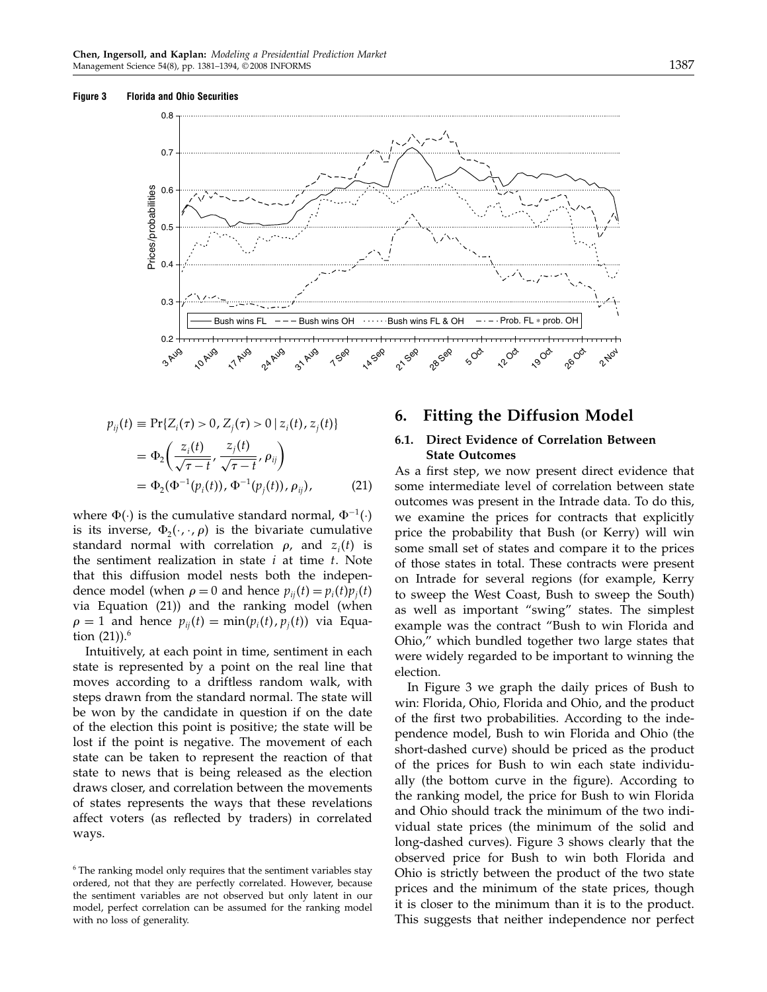#### Figure 3 Florida and Ohio Securities



$$
p_{ij}(t) \equiv \Pr\{Z_i(\tau) > 0, Z_j(\tau) > 0 \mid z_i(t), z_j(t)\}
$$
\n
$$
= \Phi_2\left(\frac{z_i(t)}{\sqrt{\tau - t}}, \frac{z_j(t)}{\sqrt{\tau - t}}, \rho_{ij}\right)
$$
\n
$$
= \Phi_2(\Phi^{-1}(p_i(t)), \Phi^{-1}(p_j(t)), \rho_{ij}), \tag{21}
$$

where  $\Phi(\cdot)$  is the cumulative standard normal,  $\Phi^{-1}(\cdot)$ is its inverse,  $\Phi_2(\cdot, \cdot, \rho)$  is the bivariate cumulative standard normal with correlation  $\rho$ , and  $z_i(t)$  is the sentiment realization in state  $i$  at time  $t$ . Note that this diffusion model nests both the independence model (when  $\rho = 0$  and hence  $p_{ii}(t) = p_i(t)p_i(t)$ via Equation (21)) and the ranking model (when  $\rho = 1$  and hence  $p_{ij}(t) = \min(p_i(t), p_j(t))$  via Equation  $(21)$ <sup>6</sup>

Intuitively, at each point in time, sentiment in each state is represented by a point on the real line that moves according to a driftless random walk, with steps drawn from the standard normal. The state will be won by the candidate in question if on the date of the election this point is positive; the state will be lost if the point is negative. The movement of each state can be taken to represent the reaction of that state to news that is being released as the election draws closer, and correlation between the movements of states represents the ways that these revelations affect voters (as reflected by traders) in correlated ways.

## 6. Fitting the Diffusion Model

## 6.1. Direct Evidence of Correlation Between State Outcomes

As a first step, we now present direct evidence that some intermediate level of correlation between state outcomes was present in the Intrade data. To do this, we examine the prices for contracts that explicitly price the probability that Bush (or Kerry) will win some small set of states and compare it to the prices of those states in total. These contracts were present on Intrade for several regions (for example, Kerry to sweep the West Coast, Bush to sweep the South) as well as important "swing" states. The simplest example was the contract "Bush to win Florida and Ohio," which bundled together two large states that were widely regarded to be important to winning the election.

In Figure 3 we graph the daily prices of Bush to win: Florida, Ohio, Florida and Ohio, and the product of the first two probabilities. According to the independence model, Bush to win Florida and Ohio (the short-dashed curve) should be priced as the product of the prices for Bush to win each state individually (the bottom curve in the figure). According to the ranking model, the price for Bush to win Florida and Ohio should track the minimum of the two individual state prices (the minimum of the solid and long-dashed curves). Figure 3 shows clearly that the observed price for Bush to win both Florida and Ohio is strictly between the product of the two state prices and the minimum of the state prices, though it is closer to the minimum than it is to the product. This suggests that neither independence nor perfect

<sup>&</sup>lt;sup>6</sup> The ranking model only requires that the sentiment variables stay ordered, not that they are perfectly correlated. However, because the sentiment variables are not observed but only latent in our model, perfect correlation can be assumed for the ranking model with no loss of generality.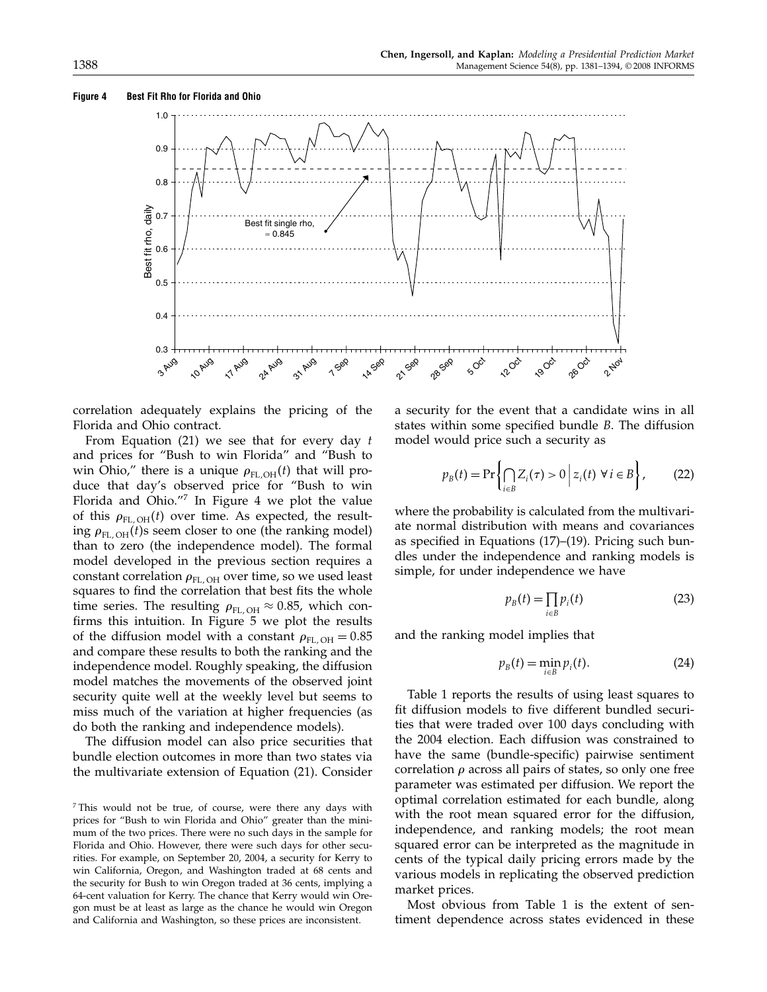

#### Figure 4 Best Fit Rho for Florida and Ohio

correlation adequately explains the pricing of the Florida and Ohio contract.

From Equation (21) we see that for every day  $t$ and prices for "Bush to win Florida" and "Bush to win Ohio," there is a unique  $\rho_{\text{FL,OH}}(t)$  that will produce that day's observed price for "Bush to win Florida and Ohio."<sup>7</sup> In Figure 4 we plot the value of this  $\rho_{\text{FL,OH}}(t)$  over time. As expected, the resulting  $\rho_{\text{FL,OH}}(t)$ s seem closer to one (the ranking model) than to zero (the independence model). The formal model developed in the previous section requires a constant correlation  $\rho_{FL,OH}$  over time, so we used least squares to find the correlation that best fits the whole time series. The resulting  $\rho_{\text{FL, OH}} \approx 0.85$ , which confirms this intuition. In Figure 5 we plot the results of the diffusion model with a constant  $\rho_{FL,OH} = 0.85$ and compare these results to both the ranking and the independence model. Roughly speaking, the diffusion model matches the movements of the observed joint security quite well at the weekly level but seems to miss much of the variation at higher frequencies (as do both the ranking and independence models).

The diffusion model can also price securities that bundle election outcomes in more than two states via the multivariate extension of Equation (21). Consider a security for the event that a candidate wins in all states within some specified bundle B. The diffusion model would price such a security as

$$
p_B(t) = \Pr\left\{\bigcap_{i \in B} Z_i(\tau) > 0 \, \Big| \, z_i(t) \, \forall \, i \in B\right\},\tag{22}
$$

where the probability is calculated from the multivariate normal distribution with means and covariances as specified in Equations (17)–(19). Pricing such bundles under the independence and ranking models is simple, for under independence we have

$$
p_B(t) = \prod_{i \in B} p_i(t) \tag{23}
$$

and the ranking model implies that

$$
p_B(t) = \min_{i \in B} p_i(t). \tag{24}
$$

Table 1 reports the results of using least squares to fit diffusion models to five different bundled securities that were traded over 100 days concluding with the 2004 election. Each diffusion was constrained to have the same (bundle-specific) pairwise sentiment correlation  $\rho$  across all pairs of states, so only one free parameter was estimated per diffusion. We report the optimal correlation estimated for each bundle, along with the root mean squared error for the diffusion, independence, and ranking models; the root mean squared error can be interpreted as the magnitude in cents of the typical daily pricing errors made by the various models in replicating the observed prediction market prices.

Most obvious from Table 1 is the extent of sentiment dependence across states evidenced in these

<sup>&</sup>lt;sup>7</sup> This would not be true, of course, were there any days with prices for "Bush to win Florida and Ohio" greater than the minimum of the two prices. There were no such days in the sample for Florida and Ohio. However, there were such days for other securities. For example, on September 20, 2004, a security for Kerry to win California, Oregon, and Washington traded at 68 cents and the security for Bush to win Oregon traded at 36 cents, implying a 64-cent valuation for Kerry. The chance that Kerry would win Oregon must be at least as large as the chance he would win Oregon and California and Washington, so these prices are inconsistent.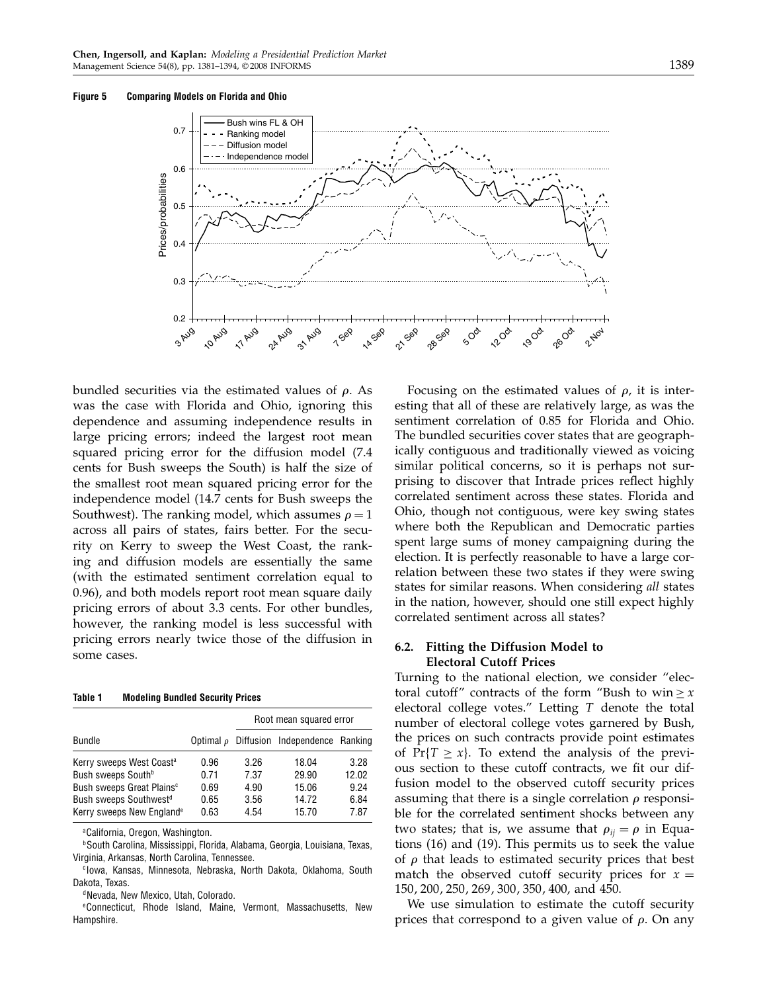## Figure 5 Comparing Models on Florida and Ohio



bundled securities via the estimated values of  $\rho$ . As was the case with Florida and Ohio, ignoring this dependence and assuming independence results in large pricing errors; indeed the largest root mean squared pricing error for the diffusion model (7.4 cents for Bush sweeps the South) is half the size of the smallest root mean squared pricing error for the independence model (14.7 cents for Bush sweeps the Southwest). The ranking model, which assumes  $\rho = 1$ across all pairs of states, fairs better. For the security on Kerry to sweep the West Coast, the ranking and diffusion models are essentially the same (with the estimated sentiment correlation equal to 0.96), and both models report root mean square daily pricing errors of about 3.3 cents. For other bundles, however, the ranking model is less successful with pricing errors nearly twice those of the diffusion in some cases.

Table 1 Modeling Bundled Security Prices

|                                                                                                                                                                                                |                                      | Root mean squared error              |                                               |                                       |
|------------------------------------------------------------------------------------------------------------------------------------------------------------------------------------------------|--------------------------------------|--------------------------------------|-----------------------------------------------|---------------------------------------|
| <b>Bundle</b>                                                                                                                                                                                  |                                      |                                      | Optimal $\rho$ Diffusion Independence Ranking |                                       |
| Kerry sweeps West Coast <sup>a</sup><br>Bush sweeps South <sup>b</sup><br>Bush sweeps Great Plains <sup>c</sup><br>Bush sweeps Southwest <sup>d</sup><br>Kerry sweeps New England <sup>e</sup> | 0.96<br>0.71<br>0.69<br>0.65<br>0.63 | 3.26<br>7.37<br>4.90<br>3.56<br>4.54 | 18.04<br>29.90<br>15.06<br>14.72<br>15.70     | 3.28<br>12.02<br>9.24<br>6.84<br>7.87 |

a California, Oregon, Washington.

<sup>b</sup>South Carolina, Mississippi, Florida, Alabama, Georgia, Louisiana, Texas, Virginia, Arkansas, North Carolina, Tennessee.

c Iowa, Kansas, Minnesota, Nebraska, North Dakota, Oklahoma, South Dakota, Texas.

dNevada, New Mexico, Utah, Colorado.

e Connecticut, Rhode Island, Maine, Vermont, Massachusetts, New Hampshire.

Focusing on the estimated values of  $\rho$ , it is interesting that all of these are relatively large, as was the sentiment correlation of 0.85 for Florida and Ohio. The bundled securities cover states that are geographically contiguous and traditionally viewed as voicing similar political concerns, so it is perhaps not surprising to discover that Intrade prices reflect highly correlated sentiment across these states. Florida and Ohio, though not contiguous, were key swing states where both the Republican and Democratic parties spent large sums of money campaigning during the election. It is perfectly reasonable to have a large correlation between these two states if they were swing states for similar reasons. When considering all states in the nation, however, should one still expect highly correlated sentiment across all states?

## 6.2. Fitting the Diffusion Model to Electoral Cutoff Prices

Turning to the national election, we consider "electoral cutoff" contracts of the form "Bush to win  $> x$ electoral college votes." Letting  $T$  denote the total number of electoral college votes garnered by Bush, the prices on such contracts provide point estimates of  $Pr{T \geq x}$ . To extend the analysis of the previous section to these cutoff contracts, we fit our diffusion model to the observed cutoff security prices assuming that there is a single correlation  $\rho$  responsible for the correlated sentiment shocks between any two states; that is, we assume that  $\rho_{ij} = \rho$  in Equations (16) and (19). This permits us to seek the value of  $\rho$  that leads to estimated security prices that best match the observed cutoff security prices for  $x =$ 150, 200, 250, 269, 300, 350, 400, and 450.

We use simulation to estimate the cutoff security prices that correspond to a given value of  $\rho$ . On any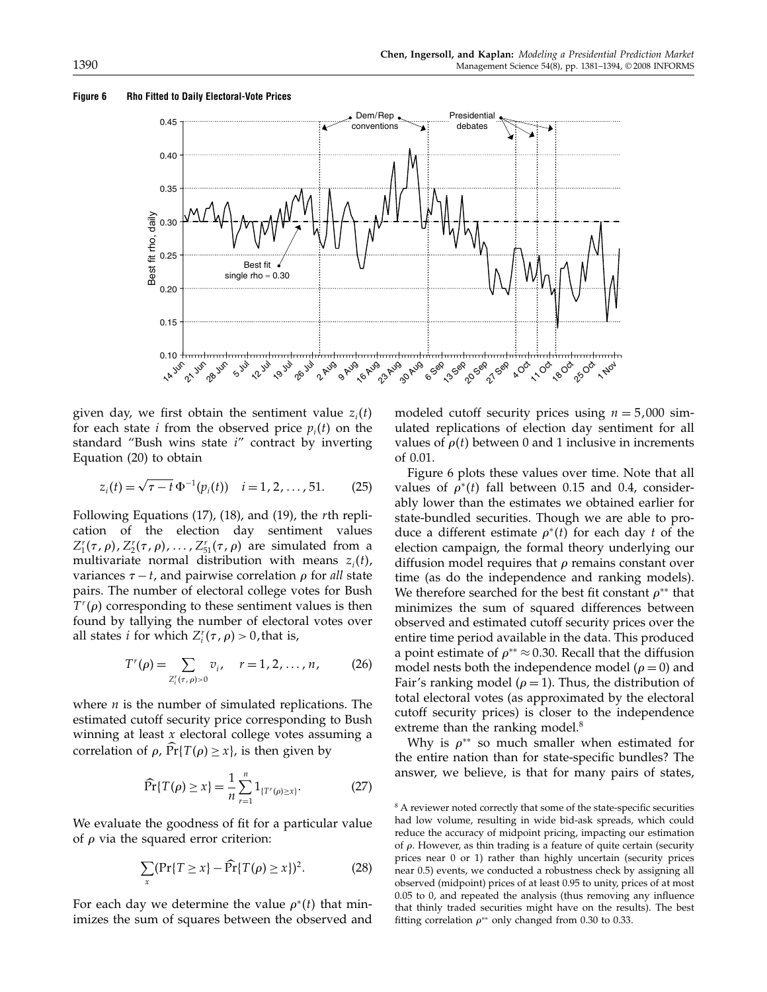

#### Figure 6 Rho Fitted to Daily Electoral-Vote Prices

given day, we first obtain the sentiment value  $z_i(t)$ for each state *i* from the observed price  $p_i(t)$  on the standard "Bush wins state  $i$ " contract by inverting Equation (20) to obtain

$$
z_i(t) = \sqrt{\tau - t} \, \Phi^{-1}(p_i(t)) \quad i = 1, 2, \dots, 51. \tag{25}
$$

Following Equations (17), (18), and (19), the rth replication of the election day sentiment values  $Z_1^r(\tau,\rho), Z_2^r(\tau,\rho), \ldots, Z_{51}^r(\tau,\rho)$  are simulated from a multivariate normal distribution with means  $z_i(t)$ , variances  $\tau - t$ , and pairwise correlation  $\rho$  for all state pairs. The number of electoral college votes for Bush  $T^r(\rho)$  corresponding to these sentiment values is then found by tallying the number of electoral votes over all states *i* for which  $Z_i^r(\tau, \rho) > 0$ , that is,

$$
T^{r}(\rho) = \sum_{Z_{i}^{r}(\tau,\,\rho)>0} v_{i}, \quad r = 1, 2, ..., n,
$$
 (26)

where  $n$  is the number of simulated replications. The estimated cutoff security price corresponding to Bush winning at least  $x$  electoral college votes assuming a correlation of  $\rho$ ,  $Pr{T(\rho) \geq x}$ , is then given by

$$
\widehat{\Pr}\{T(\rho) \ge x\} = \frac{1}{n} \sum_{r=1}^{n} 1_{\{T^r(\rho) \ge x\}}.\tag{27}
$$

We evaluate the goodness of fit for a particular value of  $\rho$  via the squared error criterion:

$$
\sum_{x} \left( \Pr\{T \ge x\} - \widehat{\Pr}\{T(\rho) \ge x\} \right)^2. \tag{28}
$$

For each day we determine the value  $\rho^*(t)$  that minimizes the sum of squares between the observed and modeled cutoff security prices using  $n = 5,000$  simulated replications of election day sentiment for all values of  $\rho(t)$  between 0 and 1 inclusive in increments of 0.01.

Figure 6 plots these values over time. Note that all values of  $\rho^*(t)$  fall between 0.15 and 0.4, considerably lower than the estimates we obtained earlier for state-bundled securities. Though we are able to produce a different estimate  $\rho^*(t)$  for each day t of the election campaign, the formal theory underlying our diffusion model requires that  $\rho$  remains constant over time (as do the independence and ranking models). We therefore searched for the best fit constant  $\rho^{**}$  that minimizes the sum of squared differences between observed and estimated cutoff security prices over the entire time period available in the data. This produced a point estimate of  $\rho^{**} \approx 0.30$ . Recall that the diffusion model nests both the independence model ( $\rho = 0$ ) and Fair's ranking model ( $\rho = 1$ ). Thus, the distribution of total electoral votes (as approximated by the electoral cutoff security prices) is closer to the independence extreme than the ranking model.<sup>8</sup>

Why is  $\rho^{**}$  so much smaller when estimated for the entire nation than for state-specific bundles? The answer, we believe, is that for many pairs of states,

<sup>&</sup>lt;sup>8</sup> A reviewer noted correctly that some of the state-specific securities had low volume, resulting in wide bid-ask spreads, which could reduce the accuracy of midpoint pricing, impacting our estimation of  $\rho$ . However, as thin trading is a feature of quite certain (security prices near 0 or 1) rather than highly uncertain (security prices near 0.5) events, we conducted a robustness check by assigning all observed (midpoint) prices of at least 0.95 to unity, prices of at most 0.05 to 0, and repeated the analysis (thus removing any influence that thinly traded securities might have on the results). The best fitting correlation  $\rho^{**}$  only changed from 0.30 to 0.33.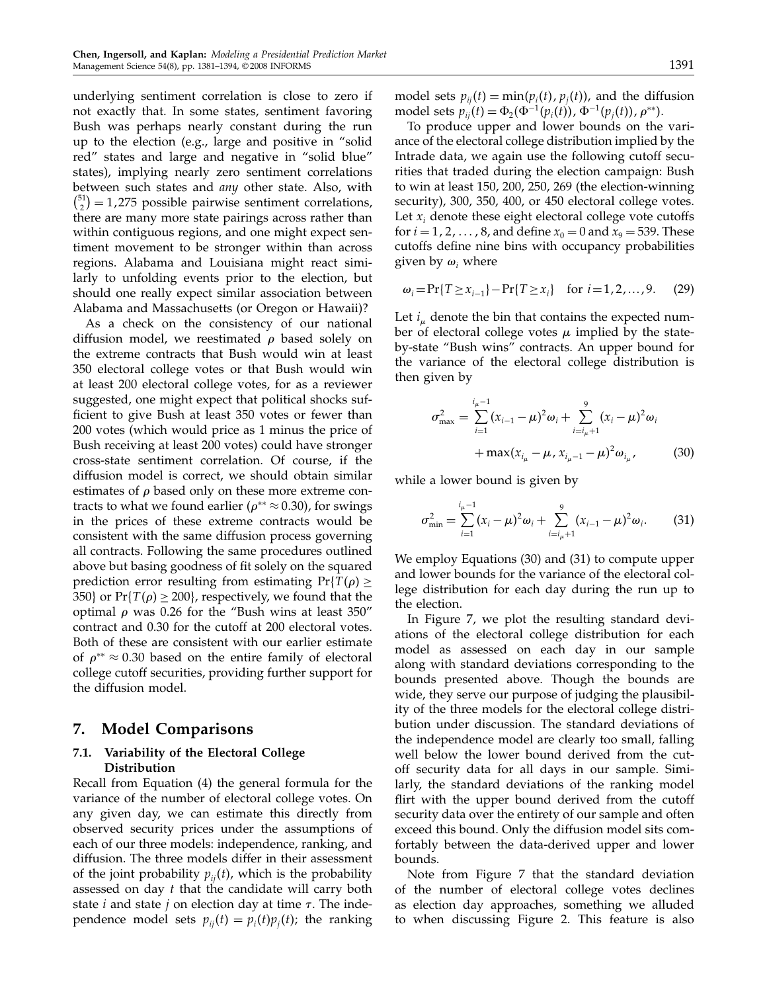underlying sentiment correlation is close to zero if not exactly that. In some states, sentiment favoring Bush was perhaps nearly constant during the run up to the election (e.g., large and positive in "solid red" states and large and negative in "solid blue" states), implying nearly zero sentiment correlations between such states and any other state. Also, with  $\binom{51}{2}$  = 1,275 possible pairwise sentiment correlations, there are many more state pairings across rather than within contiguous regions, and one might expect sentiment movement to be stronger within than across regions. Alabama and Louisiana might react similarly to unfolding events prior to the election, but should one really expect similar association between Alabama and Massachusetts (or Oregon or Hawaii)?

As a check on the consistency of our national diffusion model, we reestimated  $\rho$  based solely on the extreme contracts that Bush would win at least 350 electoral college votes or that Bush would win at least 200 electoral college votes, for as a reviewer suggested, one might expect that political shocks sufficient to give Bush at least 350 votes or fewer than 200 votes (which would price as 1 minus the price of Bush receiving at least 200 votes) could have stronger cross-state sentiment correlation. Of course, if the diffusion model is correct, we should obtain similar estimates of  $\rho$  based only on these more extreme contracts to what we found earlier ( $\rho^{**} \approx 0.30$ ), for swings in the prices of these extreme contracts would be consistent with the same diffusion process governing all contracts. Following the same procedures outlined above but basing goodness of fit solely on the squared prediction error resulting from estimating  $Pr{T(\rho) \geq \rho}$ 350} or  $Pr{T(\rho) \ge 200}$ , respectively, we found that the optimal  $\rho$  was 0.26 for the "Bush wins at least 350" contract and 0.30 for the cutoff at 200 electoral votes. Both of these are consistent with our earlier estimate of  $\rho^{**} \approx 0.30$  based on the entire family of electoral college cutoff securities, providing further support for the diffusion model.

# 7. Model Comparisons

## 7.1. Variability of the Electoral College Distribution

Recall from Equation (4) the general formula for the variance of the number of electoral college votes. On any given day, we can estimate this directly from observed security prices under the assumptions of each of our three models: independence, ranking, and diffusion. The three models differ in their assessment of the joint probability  $p_{ii}(t)$ , which is the probability assessed on day t that the candidate will carry both state *i* and state *j* on election day at time  $\tau$ . The independence model sets  $p_{ii}(t) = p_i(t)p_i(t)$ ; the ranking

model sets  $p_{ij}(t) = \min(p_i(t), p_j(t))$ , and the diffusion model sets  $p_{ii}(t) = \Phi_2(\Phi^{-1}(p_i(t)), \Phi^{-1}(p_i(t)), \rho^{**}).$ 

To produce upper and lower bounds on the variance of the electoral college distribution implied by the Intrade data, we again use the following cutoff securities that traded during the election campaign: Bush to win at least 150, 200, 250, 269 (the election-winning security), 300, 350, 400, or 450 electoral college votes. Let  $x_i$  denote these eight electoral college vote cutoffs for  $i = 1, 2, ..., 8$ , and define  $x_0 = 0$  and  $x_9 = 539$ . These cutoffs define nine bins with occupancy probabilities given by  $\omega_i$  where

$$
\omega_i = \Pr\{T \ge x_{i-1}\} - \Pr\{T \ge x_i\} \quad \text{for } i = 1, 2, ..., 9. \tag{29}
$$

Let  $i_{\mu}$  denote the bin that contains the expected number of electoral college votes  $\mu$  implied by the stateby-state "Bush wins" contracts. An upper bound for the variance of the electoral college distribution is then given by

$$
\sigma_{\max}^2 = \sum_{i=1}^{i_{\mu}-1} (x_{i-1} - \mu)^2 \omega_i + \sum_{i=i_{\mu}+1}^9 (x_i - \mu)^2 \omega_i
$$
  
+ max $(x_{i_{\mu}} - \mu, x_{i_{\mu}-1} - \mu)^2 \omega_{i_{\mu}},$  (30)

while a lower bound is given by

$$
\sigma_{\min}^2 = \sum_{i=1}^{i_{\mu}-1} (x_i - \mu)^2 \omega_i + \sum_{i=i_{\mu}+1}^9 (x_{i-1} - \mu)^2 \omega_i.
$$
 (31)

We employ Equations (30) and (31) to compute upper and lower bounds for the variance of the electoral college distribution for each day during the run up to the election.

In Figure 7, we plot the resulting standard deviations of the electoral college distribution for each model as assessed on each day in our sample along with standard deviations corresponding to the bounds presented above. Though the bounds are wide, they serve our purpose of judging the plausibility of the three models for the electoral college distribution under discussion. The standard deviations of the independence model are clearly too small, falling well below the lower bound derived from the cutoff security data for all days in our sample. Similarly, the standard deviations of the ranking model flirt with the upper bound derived from the cutoff security data over the entirety of our sample and often exceed this bound. Only the diffusion model sits comfortably between the data-derived upper and lower bounds.

Note from Figure 7 that the standard deviation of the number of electoral college votes declines as election day approaches, something we alluded to when discussing Figure 2. This feature is also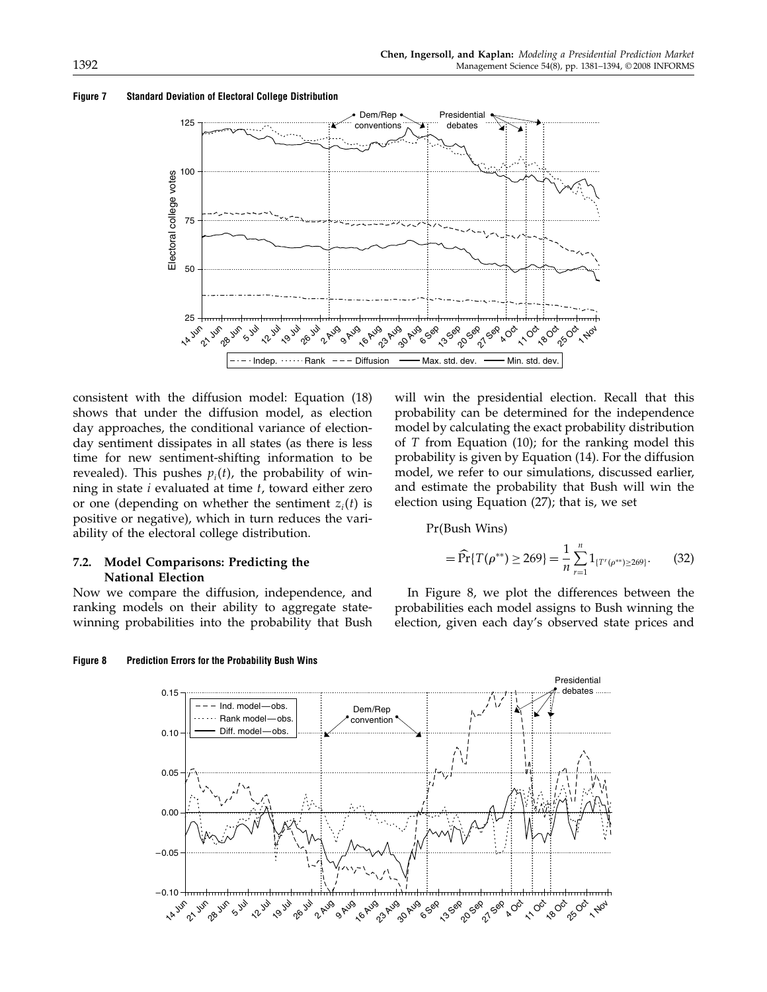



consistent with the diffusion model: Equation (18) shows that under the diffusion model, as election day approaches, the conditional variance of electionday sentiment dissipates in all states (as there is less time for new sentiment-shifting information to be revealed). This pushes  $p_i(t)$ , the probability of winning in state  $i$  evaluated at time  $t$ , toward either zero or one (depending on whether the sentiment  $z_i(t)$  is positive or negative), which in turn reduces the variability of the electoral college distribution.

## 7.2. Model Comparisons: Predicting the National Election

Now we compare the diffusion, independence, and ranking models on their ability to aggregate statewinning probabilities into the probability that Bush will win the presidential election. Recall that this probability can be determined for the independence model by calculating the exact probability distribution of T from Equation (10); for the ranking model this probability is given by Equation (14). For the diffusion model, we refer to our simulations, discussed earlier, and estimate the probability that Bush will win the election using Equation (27); that is, we set

Pr(Bush Wins)

$$
= \widehat{\Pr} \{ T(\rho^{**}) \ge 269 \} = \frac{1}{n} \sum_{r=1}^{n} 1_{\{ T^r(\rho^{**}) \ge 269 \}}. \tag{32}
$$

In Figure 8, we plot the differences between the probabilities each model assigns to Bush winning the election, given each day's observed state prices and



#### Figure 8 Prediction Errors for the Probability Bush Wins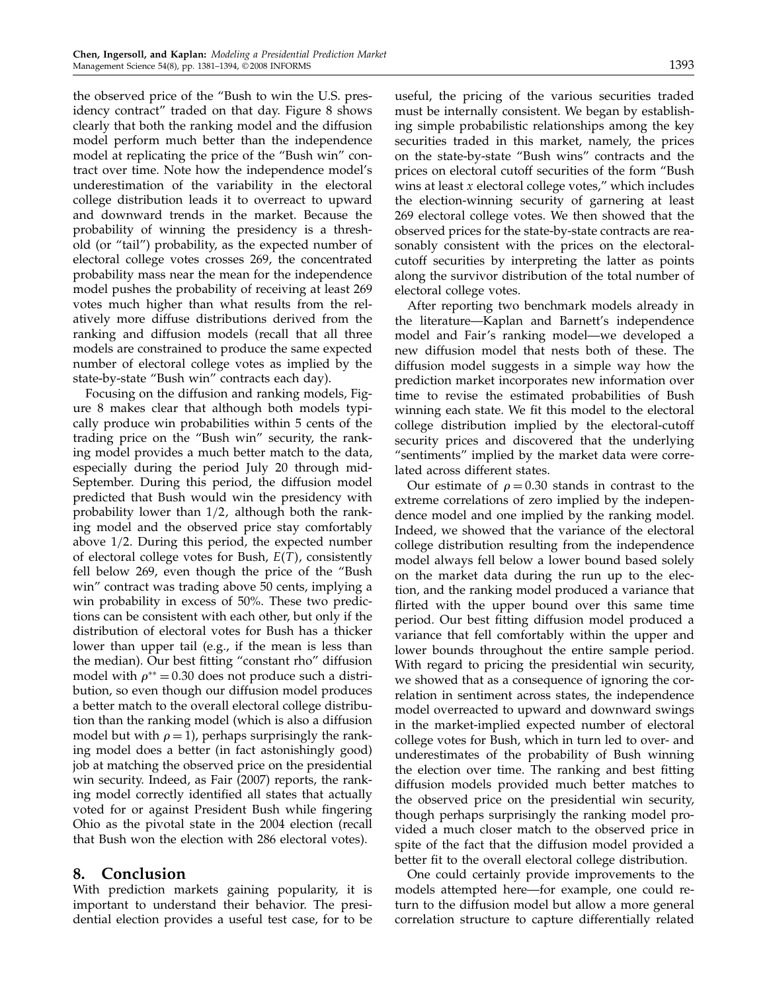the observed price of the "Bush to win the U.S. presidency contract" traded on that day. Figure 8 shows clearly that both the ranking model and the diffusion model perform much better than the independence model at replicating the price of the "Bush win" contract over time. Note how the independence model's underestimation of the variability in the electoral college distribution leads it to overreact to upward and downward trends in the market. Because the probability of winning the presidency is a threshold (or "tail") probability, as the expected number of electoral college votes crosses 269, the concentrated probability mass near the mean for the independence model pushes the probability of receiving at least 269 votes much higher than what results from the relatively more diffuse distributions derived from the ranking and diffusion models (recall that all three models are constrained to produce the same expected number of electoral college votes as implied by the state-by-state "Bush win" contracts each day).

Focusing on the diffusion and ranking models, Figure 8 makes clear that although both models typically produce win probabilities within 5 cents of the trading price on the "Bush win" security, the ranking model provides a much better match to the data, especially during the period July 20 through mid-September. During this period, the diffusion model predicted that Bush would win the presidency with probability lower than 1/2 although both the ranking model and the observed price stay comfortably above  $1/2$ . During this period, the expected number of electoral college votes for Bush,  $E(T)$ , consistently fell below 269, even though the price of the "Bush win" contract was trading above 50 cents, implying a win probability in excess of 50%. These two predictions can be consistent with each other, but only if the distribution of electoral votes for Bush has a thicker lower than upper tail (e.g., if the mean is less than the median). Our best fitting "constant rho" diffusion model with  $\rho^{**} = 0.30$  does not produce such a distribution, so even though our diffusion model produces a better match to the overall electoral college distribution than the ranking model (which is also a diffusion model but with  $\rho = 1$ ), perhaps surprisingly the ranking model does a better (in fact astonishingly good) job at matching the observed price on the presidential win security. Indeed, as Fair (2007) reports, the ranking model correctly identified all states that actually voted for or against President Bush while fingering Ohio as the pivotal state in the 2004 election (recall that Bush won the election with 286 electoral votes).

## 8. Conclusion

With prediction markets gaining popularity, it is important to understand their behavior. The presidential election provides a useful test case, for to be useful, the pricing of the various securities traded must be internally consistent. We began by establishing simple probabilistic relationships among the key securities traded in this market, namely, the prices on the state-by-state "Bush wins" contracts and the prices on electoral cutoff securities of the form "Bush wins at least  $x$  electoral college votes," which includes the election-winning security of garnering at least 269 electoral college votes. We then showed that the observed prices for the state-by-state contracts are reasonably consistent with the prices on the electoralcutoff securities by interpreting the latter as points along the survivor distribution of the total number of electoral college votes.

After reporting two benchmark models already in the literature—Kaplan and Barnett's independence model and Fair's ranking model—we developed a new diffusion model that nests both of these. The diffusion model suggests in a simple way how the prediction market incorporates new information over time to revise the estimated probabilities of Bush winning each state. We fit this model to the electoral college distribution implied by the electoral-cutoff security prices and discovered that the underlying "sentiments" implied by the market data were correlated across different states.

Our estimate of  $\rho = 0.30$  stands in contrast to the extreme correlations of zero implied by the independence model and one implied by the ranking model. Indeed, we showed that the variance of the electoral college distribution resulting from the independence model always fell below a lower bound based solely on the market data during the run up to the election, and the ranking model produced a variance that flirted with the upper bound over this same time period. Our best fitting diffusion model produced a variance that fell comfortably within the upper and lower bounds throughout the entire sample period. With regard to pricing the presidential win security, we showed that as a consequence of ignoring the correlation in sentiment across states, the independence model overreacted to upward and downward swings in the market-implied expected number of electoral college votes for Bush, which in turn led to over- and underestimates of the probability of Bush winning the election over time. The ranking and best fitting diffusion models provided much better matches to the observed price on the presidential win security, though perhaps surprisingly the ranking model provided a much closer match to the observed price in spite of the fact that the diffusion model provided a better fit to the overall electoral college distribution.

One could certainly provide improvements to the models attempted here—for example, one could return to the diffusion model but allow a more general correlation structure to capture differentially related